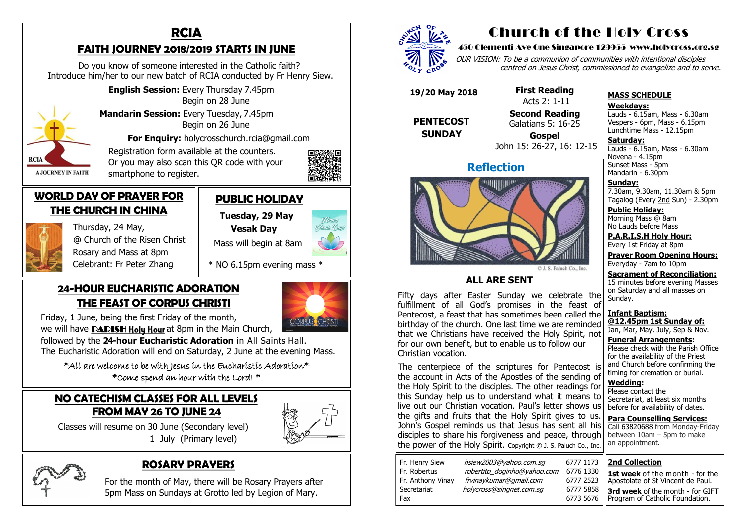### **NO CATECHISM CLASSES FOR ALL LEVELS FROM MAY 26 TO JUNE 24**

 Classes will resume on 30 June (Secondary level) 1 July (Primary level)





### **24-HOUR EUCHARISTIC ADORATION THE FEAST OF CORPUS CHRISTI**

Friday, 1 June, being the first Friday of the month,

we will have **PARISH Holy Hour** at 8pm in the Main Church,

 $*$ All are welcome to be with Jesus in the Eucharistic Adoration $*$ \*Come spend an hour with the Lord! \*

 followed by the **24-hour Eucharistic Adoration** in All Saints Hall. The Eucharistic Adoration will end on Saturday, 2 June at the evening Mass.

### **ROSARY PRAYERS**

 For the month of May, there will be Rosary Prayers after 5pm Mass on Sundays at Grotto led by Legion of Mary.



# **RCIA**

### **FAITH JOURNEY 2018/2019 STARTS IN JUNE**

OUR VISION: To be a communion of communities with intentional disciples centred on Jesus Christ, commissioned to evangelize and to serve.

 Do you know of someone interested in the Catholic faith? Introduce him/her to our new batch of RCIA conducted by Fr Henry Siew.

> **English Session:** Every Thursday 7.45pm Begin on 28 June

 **Mandarin Session:** Every Tuesday, 7.45pm



**Saturday:** Lauds - 6.15am, Mass - 6.30am Novena - 4.15pm Sunset Mass - 5pm Mandarin - 6.30pm

 Begin on 26 June **For Enquiry:** holycrosschurch.rcia@gmail.com

 Registration form available at the counters. Or you may also scan this QR code with your smartphone to register.



Happy Closaic Da

### **WORLD DAY OF PRAYER FOR THE CHURCH IN CHINA**



 Thursday, 24 May, @ Church of the Risen Christ Rosary and Mass at 8pm Celebrant: Fr Peter Zhang

> and Church before confirming the timing for cremation or burial. **Wedding:**  Please contact the Secretariat, at least six months before for availability of dates. **Para Counselling Services:** Call [63820688](tel:+6563820688) from Monday-Friday between  $10$ am – 5pm to make an appointment. The centerpiece of the scriptures for Pentecost is the account in Acts of the Apostles of the sending of the Holy Spirit to the disciples. The other readings for this Sunday help us to understand what it means to live out our Christian vocation. Paul's letter shows us the gifts and fruits that the Holy Spirit gives to us. John's Gospel reminds us that Jesus has sent all his disciples to share his forgiveness and peace, through the power of the Holy Spirit. Copyright © J. S. Paluch Co., Inc.

### **PUBLIC HOLIDAY**

 **Tuesday, 29 May Vesak Day** 

Mass will begin at 8am

\* NO 6.15pm evening mass \*

# Church of the Holy Cross

### 450 Clementi Ave One Singapore 129955 www.holycross.org.sg

| Fr. Henry Siew<br>Fr. Robertus<br>Fr. Anthony Vinay<br>Secretariat | hsiew2003@yahoo.com.sq<br>robertito doginho@yahoo.com<br>frvinaykumar@gmail.com<br>holycross@singnet.com.sg | 6777 1173<br>6776 1330<br>6777 2523<br>6777 5858 |
|--------------------------------------------------------------------|-------------------------------------------------------------------------------------------------------------|--------------------------------------------------|
| Fax                                                                |                                                                                                             | 6773 5676                                        |
|                                                                    |                                                                                                             |                                                  |



### **MASS SCHEDULE**

**Weekdays:**

Lauds - 6.15am, Mass - 6.30am Vespers - 6pm, Mass - 6.15pm Lunchtime Mass - 12.15pm

**Sunday:** 7.30am, 9.30am, 11.30am & 5pm Tagalog (Every 2nd Sun) - 2.30pm

**Public Holiday:**  Morning Mass @ 8am No Lauds before Mass

**P.A.R.I.S.H Holy Hour:** Every 1st Friday at 8pm

**Prayer Room Opening Hours:** Everyday - 7am to 10pm

**Sacrament of Reconciliation:** 15 minutes before evening Masses on Saturday and all masses on Sunday.

**Infant Baptism: @12.45pm 1st Sunday of:** Jan, Mar, May, July, Sep & Nov.

**Funeral Arrangements:**  Please check with the Parish Office for the availability of the Priest

## **Reflection**



**ALL ARE SENT**

Fifty days after Easter Sunday we celebrate the fulfillment of all God's promises in the feast of Pentecost, a feast that has sometimes been called the birthday of the church. One last time we are reminded that we Christians have received the Holy Spirit, not for our own benefit, but to enable us to follow our Christian vocation.

 **19/20 May 2018**

 **PENTECOST SUNDAY** 

 **First Reading**  Acts 2: 1-11 **Second Reading**

Galatians 5: 16-25

 **Gospel** John 15: 26-27, 16: 12-15

### **2nd Collection**

**1st week** of the month - for the Apostolate of St Vincent de Paul.

**3rd week** of the month - for GIFT Program of Catholic Foundation.